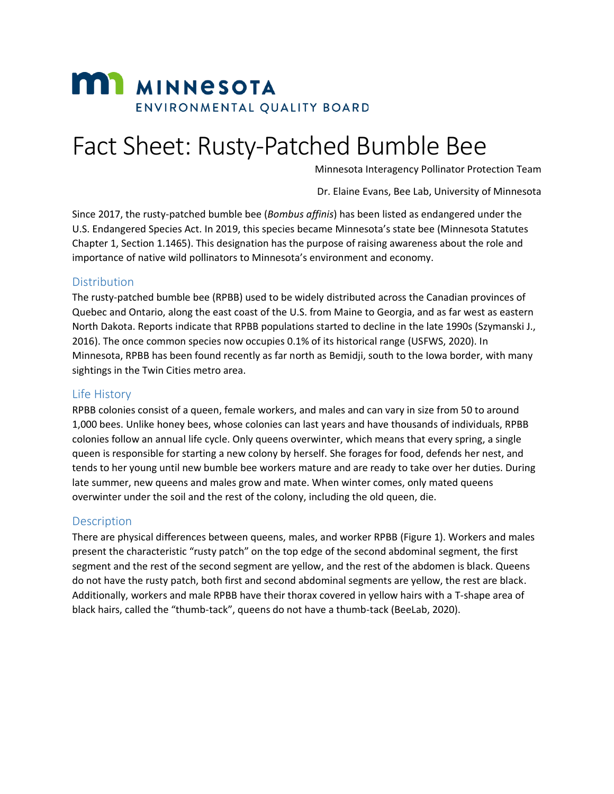# **MI MINNESOTA** ENVIRONMENTAL QUALITY BOARD

# Fact Sheet: Rusty-Patched Bumble Bee

Minnesota Interagency Pollinator Protection Team

Dr. Elaine Evans, Bee Lab, University of Minnesota

Since 2017, the rusty-patched bumble bee (*Bombus affinis*) has been listed as endangered under the U.S. Endangered Species Act. In 2019, this species became Minnesota's state bee (Minnesota Statutes Chapter 1, Section 1.1465). This designation has the purpose of raising awareness about the role and importance of native wild pollinators to Minnesota's environment and economy.

#### Distribution

The rusty-patched bumble bee (RPBB) used to be widely distributed across the Canadian provinces of Quebec and Ontario, along the east coast of the U.S. from Maine to Georgia, and as far west as eastern North Dakota. Reports indicate that RPBB populations started to decline in the late 1990s (Szymanski J., 2016). The once common species now occupies 0.1% of its historical range (USFWS, 2020). In Minnesota, RPBB has been found recently as far north as Bemidji, south to the Iowa border, with many sightings in the Twin Cities metro area.

### Life History

RPBB colonies consist of a queen, female workers, and males and can vary in size from 50 to around 1,000 bees. Unlike honey bees, whose colonies can last years and have thousands of individuals, RPBB colonies follow an annual life cycle. Only queens overwinter, which means that every spring, a single queen is responsible for starting a new colony by herself. She forages for food, defends her nest, and tends to her young until new bumble bee workers mature and are ready to take over her duties. During late summer, new queens and males grow and mate. When winter comes, only mated queens overwinter under the soil and the rest of the colony, including the old queen, die.

#### **Description**

There are physical differences between queens, males, and worker RPBB (Figure 1). Workers and males present the characteristic "rusty patch" on the top edge of the second abdominal segment, the first segment and the rest of the second segment are yellow, and the rest of the abdomen is black. Queens do not have the rusty patch, both first and second abdominal segments are yellow, the rest are black. Additionally, workers and male RPBB have their thorax covered in yellow hairs with a T-shape area of black hairs, called the "thumb-tack", queens do not have a thumb-tack (BeeLab, 2020).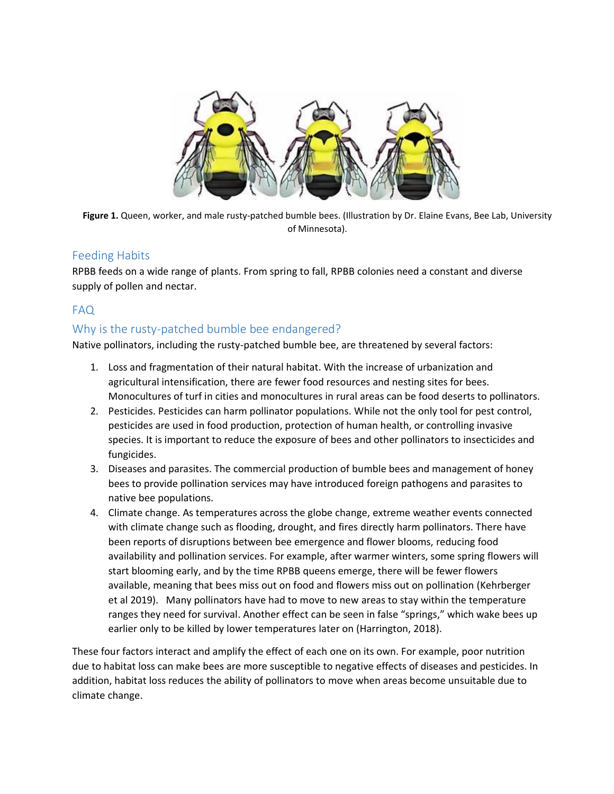

**Figure 1.** Queen, worker, and male rusty-patched bumble bees. (Illustration by Dr. Elaine Evans, Bee Lab, University of Minnesota).

# Feeding Habits

RPBB feeds on a wide range of plants. From spring to fall, RPBB colonies need a constant and diverse supply of pollen and nectar.

# FAQ

# Why is the rusty-patched bumble bee endangered?

Native pollinators, including the rusty-patched bumble bee, are threatened by several factors:

- 1. Loss and fragmentation of their natural habitat. With the increase of urbanization and agricultural intensification, there are fewer food resources and nesting sites for bees. Monocultures of turf in cities and monocultures in rural areas can be food deserts to pollinators.
- 2. Pesticides. Pesticides can harm pollinator populations. While not the only tool for pest control, pesticides are used in food production, protection of human health, or controlling invasive species. It is important to reduce the exposure of bees and other pollinators to insecticides and fungicides.
- 3. Diseases and parasites. The commercial production of bumble bees and management of honey bees to provide pollination services may have introduced foreign pathogens and parasites to native bee populations.
- 4. Climate change. As temperatures across the globe change, extreme weather events connected with climate change such as flooding, drought, and fires directly harm pollinators. There have been reports of disruptions between bee emergence and flower blooms, reducing food availability and pollination services. For example, after warmer winters, some spring flowers will start blooming early, and by the time RPBB queens emerge, there will be fewer flowers available, meaning that bees miss out on food and flowers miss out on pollination (Kehrberger et al 2019). Many pollinators have had to move to new areas to stay within the temperature ranges they need for survival. Another effect can be seen in false "springs," which wake bees up earlier only to be killed by lower temperatures later on (Harrington, 2018).

These four factors interact and amplify the effect of each one on its own. For example, poor nutrition due to habitat loss can make bees are more susceptible to negative effects of diseases and pesticides. In addition, habitat loss reduces the ability of pollinators to move when areas become unsuitable due to climate change.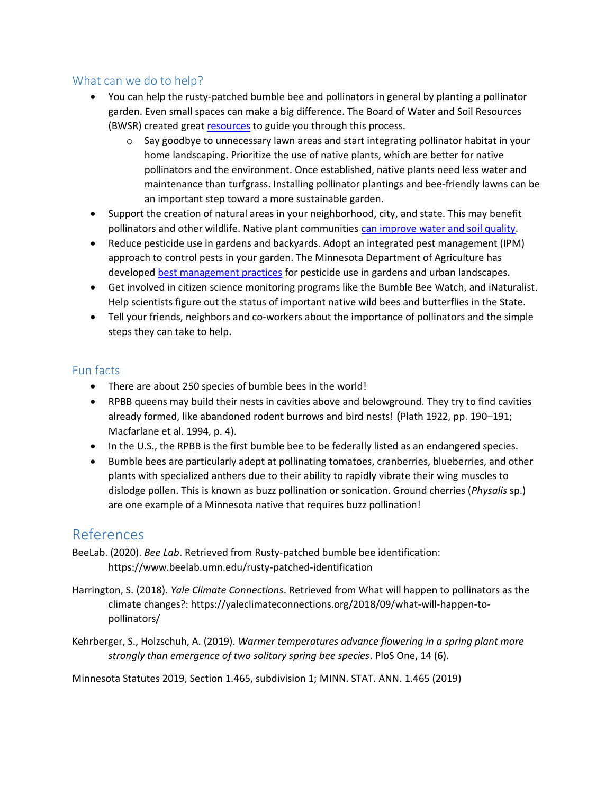### What can we do to help?

- You can help the rusty-patched bumble bee and pollinators in general by planting a pollinator garden. Even small spaces can make a big difference. The Board of Water and Soil Resources (BWSR) created great [resources](https://bwsr.state.mn.us/pollinator-toolbox) to guide you through this process.
	- $\circ$  Say goodbye to unnecessary lawn areas and start integrating pollinator habitat in your home landscaping. Prioritize the use of native plants, which are better for native pollinators and the environment. Once established, native plants need less water and maintenance than turfgrass. Installing pollinator plantings and bee-friendly lawns can be an important step toward a more sustainable garden.
- Support the creation of natural areas in your neighborhood, city, and state. This may benefit pollinators and other wildlife. Native plant communities [can improve water](https://www.dnr.state.mn.us/gardens/nativeplants/benefits.html) and soil quality.
- Reduce pesticide use in gardens and backyards. Adopt an integrated pest management (IPM) approach to control pests in your garden. The Minnesota Department of Agriculture has develope[d best management practices](https://www.mda.state.mn.us/pesticide-fertilizer/best-management-practices-pollinators-their-habitat) for pesticide use in gardens and urban landscapes.
- Get involved in citizen science monitoring programs like the Bumble Bee Watch, and iNaturalist. Help scientists figure out the status of important native wild bees and butterflies in the State.
- Tell your friends, neighbors and co-workers about the importance of pollinators and the simple steps they can take to help.

# Fun facts

- There are about 250 species of bumble bees in the world!
- RPBB queens may build their nests in cavities above and belowground. They try to find cavities already formed, like abandoned rodent burrows and bird nests! (Plath 1922, pp. 190–191; Macfarlane et al. 1994, p. 4).
- In the U.S., the RPBB is the first bumble bee to be federally listed as an endangered species.
- Bumble bees are particularly adept at pollinating tomatoes, cranberries, blueberries, and other plants with specialized anthers due to their ability to rapidly vibrate their wing muscles to dislodge pollen. This is known as buzz pollination or sonication. Ground cherries (*Physalis* sp.) are one example of a Minnesota native that requires buzz pollination!

# References

- BeeLab. (2020). *Bee Lab*. Retrieved from Rusty-patched bumble bee identification: https://www.beelab.umn.edu/rusty-patched-identification
- Harrington, S. (2018). *Yale Climate Connections*. Retrieved from What will happen to pollinators as the climate changes?: https://yaleclimateconnections.org/2018/09/what-will-happen-topollinators/
- Kehrberger, S., Holzschuh, A. (2019). *Warmer temperatures advance flowering in a spring plant more strongly than emergence of two solitary spring bee species*. PloS One, 14 (6).

Minnesota Statutes 2019, Section 1.465, subdivision 1; MINN. STAT. ANN. 1.465 (2019)